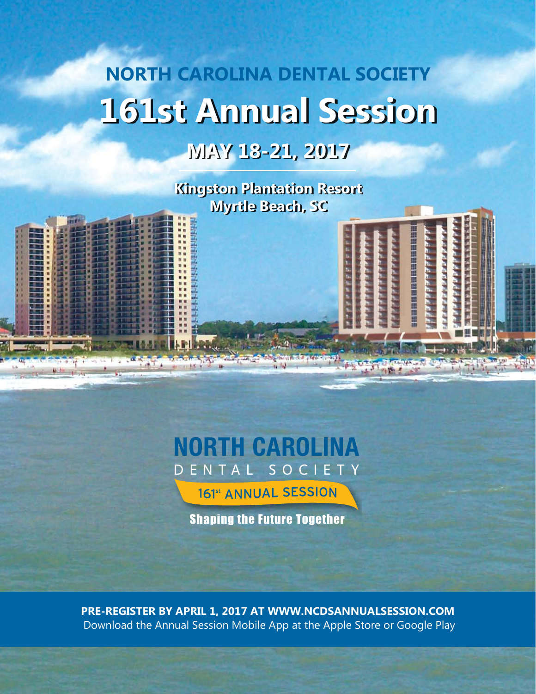# **161st Annual Session NORTH CAROLINA DENTAL SOCIETY**

# **MAY 18-21, 2017**

**Kingston Plantation Resort Myrtle Beach, SC**

※ ■ 調整體體 國 調 調 調 調 調

# **NORTH CAROLINA** DENTAL SOCIETY 161st ANNUAL SESSION

**Shaping the Future Together** 

**PRE-REGISTER BY APRIL 1, 2017 AT WWW.NCDSANNUALSESSION.COM**  Download the Annual Session Mobile App at the Apple Store or Google Play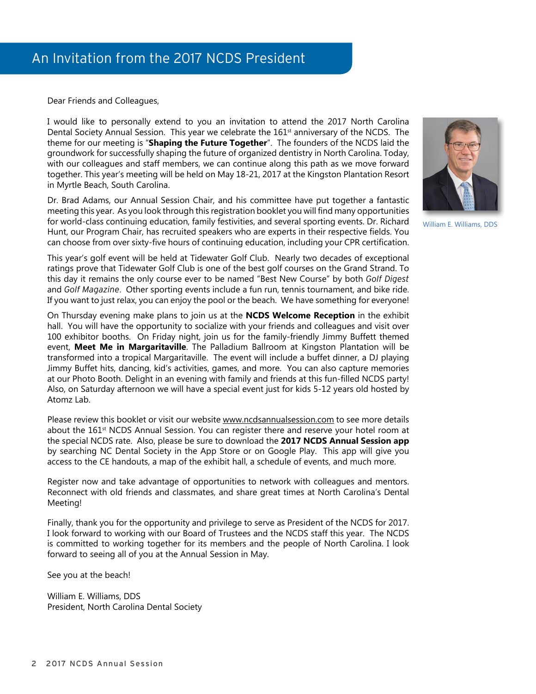Dear Friends and Colleagues,

I would like to personally extend to you an invitation to attend the 2017 North Carolina Dental Society Annual Session. This year we celebrate the 161<sup>st</sup> anniversary of the NCDS. The theme for our meeting is "**Shaping the Future Together**". The founders of the NCDS laid the groundwork for successfully shaping the future of organized dentistry in North Carolina. Today, with our colleagues and staff members, we can continue along this path as we move forward together. This year's meeting will be held on May 18-21, 2017 at the Kingston Plantation Resort in Myrtle Beach, South Carolina.

Dr. Brad Adams, our Annual Session Chair, and his committee have put together a fantastic meeting this year. As you look through this registration booklet you will find many opportunities for world-class continuing education, family festivities, and several sporting events. Dr. Richard Hunt, our Program Chair, has recruited speakers who are experts in their respective fields. You can choose from over sixty-five hours of continuing education, including your CPR certification.

This year's golf event will be held at Tidewater Golf Club. Nearly two decades of exceptional ratings prove that Tidewater Golf Club is one of the best golf courses on the Grand Strand. To this day it remains the only course ever to be named "Best New Course" by both *Golf Digest* and *Golf Magazine*. Other sporting events include a fun run, tennis tournament, and bike ride. If you want to just relax, you can enjoy the pool or the beach. We have something for everyone!

On Thursday evening make plans to join us at the **NCDS Welcome Reception** in the exhibit hall. You will have the opportunity to socialize with your friends and colleagues and visit over 100 exhibitor booths. On Friday night, join us for the family-friendly Jimmy Buffett themed event, **Meet Me in Margaritaville**. The Palladium Ballroom at Kingston Plantation will be transformed into a tropical Margaritaville. The event will include a buffet dinner, a DJ playing Jimmy Buffet hits, dancing, kid's activities, games, and more. You can also capture memories at our Photo Booth. Delight in an evening with family and friends at this fun-filled NCDS party! Also, on Saturday afternoon we will have a special event just for kids 5-12 years old hosted by Atomz Lab.

Please review this booklet or visit our website [www.ncdsannualsession.com](http://www.ncdsannualsession.com) to see more details about the 161<sup>st</sup> NCDS Annual Session. You can register there and reserve your hotel room at the special NCDS rate. Also, please be sure to download the **2017 NCDS Annual Session app** by searching NC Dental Society in the App Store or on Google Play. This app will give you access to the CE handouts, a map of the exhibit hall, a schedule of events, and much more.

Register now and take advantage of opportunities to network with colleagues and mentors. Reconnect with old friends and classmates, and share great times at North Carolina's Dental Meeting!

Finally, thank you for the opportunity and privilege to serve as President of the NCDS for 2017. I look forward to working with our Board of Trustees and the NCDS staff this year. The NCDS is committed to working together for its members and the people of North Carolina. I look forward to seeing all of you at the Annual Session in May.

See you at the beach!

William E. Williams, DDS President, North Carolina Dental Society



William E. Williams, DDS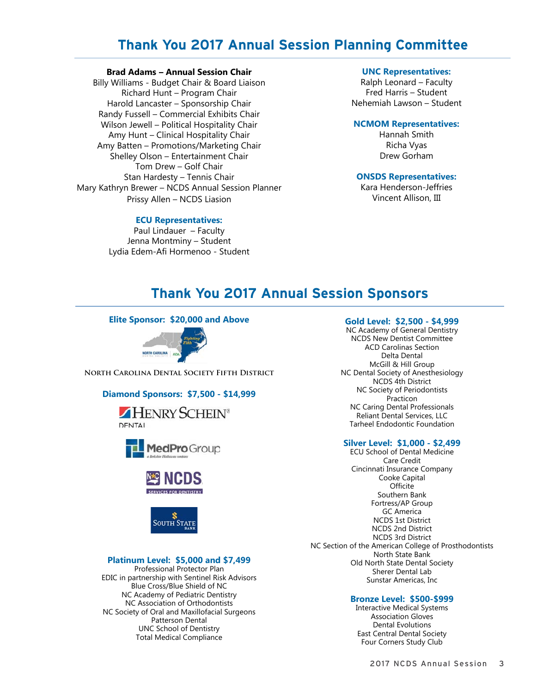# **Thank You 2017 Annual Session Planning Committee**

#### **Brad Adams – Annual Session Chair**

Billy Williams - Budget Chair & Board Liaison Richard Hunt – Program Chair Harold Lancaster – Sponsorship Chair Randy Fussell – Commercial Exhibits Chair Wilson Jewell – Political Hospitality Chair Amy Hunt – Clinical Hospitality Chair Amy Batten – Promotions/Marketing Chair Shelley Olson – Entertainment Chair Tom Drew – Golf Chair Stan Hardesty – Tennis Chair Mary Kathryn Brewer – NCDS Annual Session Planner Prissy Allen – NCDS Liasion

#### **ECU Representatives:**

Paul Lindauer – Faculty Jenna Montminy – Student Lydia Edem-Afi Hormenoo - Student

#### **UNC Representatives:**

Ralph Leonard – Faculty Fred Harris – Student Nehemiah Lawson – Student

#### **NCMOM Representatives:**

Hannah Smith Richa Vyas Drew Gorham

#### **ONSDS Representatives:**

Kara Henderson-Jeffries Vincent Allison, III

## **Thank You 2017 Annual Session Sponsors**

#### **Elite Sponsor: \$20,000 and Above**



**North Carolina Dental Society Fifth District**

#### **Diamond Sponsors: \$7,500 - \$14,999**









#### **Platinum Level: \$5,000 and \$7,499**

Professional Protector Plan EDIC in partnership with Sentinel Risk Advisors Blue Cross/Blue Shield of NC NC Academy of Pediatric Dentistry NC Association of Orthodontists NC Society of Oral and Maxillofacial Surgeons Patterson Dental UNC School of Dentistry Total Medical Compliance

#### **Gold Level: \$2,500 - \$4,999**

NC Academy of General Dentistry NCDS New Dentist Committee ACD Carolinas Section Delta Dental McGill & Hill Group NC Dental Society of Anesthesiology NCDS 4th District NC Society of Periodontists Practicon NC Caring Dental Professionals Reliant Dental Services, LLC Tarheel Endodontic Foundation

#### **Silver Level: \$1,000 - \$2,499**

ECU School of Dental Medicine Care Credit Cincinnati Insurance Company Cooke Capital **Officite** Southern Bank Fortress/AP Group GC America NCDS 1st District NCDS 2nd District NCDS 3rd District NC Section of the American College of Prosthodontists North State Bank Old North State Dental Society Sherer Dental Lab Sunstar Americas, Inc

#### **Bronze Level: \$500-\$999**

Interactive Medical Systems Association Gloves Dental Evolutions East Central Dental Society Four Corners Study Club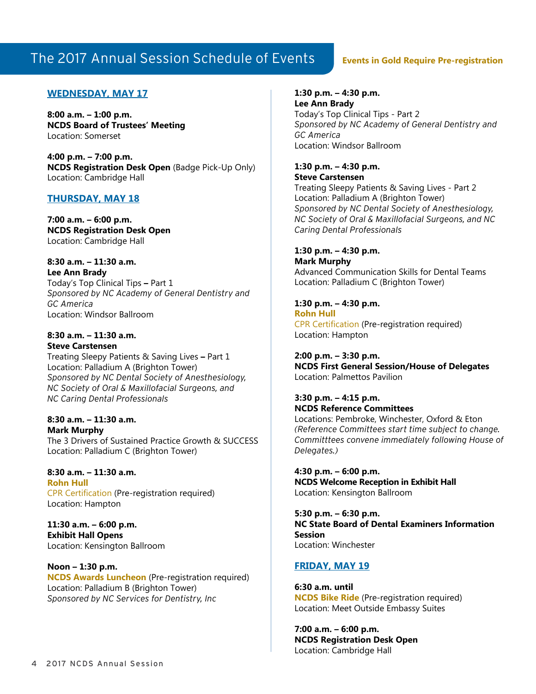## The 2017 Annual Session Schedule of Events

## **Events in Gold Require Pre-registration**

## **WEDNESDAY, MAY 17**

**8:00 a.m. – 1:00 p.m. NCDS Board of Trustees' Meeting** Location: Somerset

**4:00 p.m. – 7:00 p.m. NCDS Registration Desk Open** (Badge Pick-Up Only) Location: Cambridge Hall

## **THURSDAY, MAY 18**

**7:00 a.m. – 6:00 p.m. NCDS Registration Desk Open** Location: Cambridge Hall

#### **8:30 a.m. – 11:30 a.m. Lee Ann Brady**

Today's Top Clinical Tips **–** Part 1 *Sponsored by NC Academy of General Dentistry and GC America* Location: Windsor Ballroom

## **8:30 a.m. – 11:30 a.m. Steve Carstensen**

Treating Sleepy Patients & Saving Lives **–** Part 1 Location: Palladium A (Brighton Tower) *Sponsored by NC Dental Society of Anesthesiology, NC Society of Oral & Maxillofacial Surgeons, and NC Caring Dental Professionals*

## **8:30 a.m. – 11:30 a.m. Mark Murphy**

The 3 Drivers of Sustained Practice Growth & SUCCESS Location: Palladium C (Brighton Tower)

**8:30 a.m. – 11:30 a.m. Rohn Hull** CPR Certification (Pre-registration required) Location: Hampton

**11:30 a.m. – 6:00 p.m. Exhibit Hall Opens** Location: Kensington Ballroom

**Noon – 1:30 p.m. NCDS Awards Luncheon** (Pre-registration required) Location: Palladium B (Brighton Tower) *Sponsored by NC Services for Dentistry, Inc* 

## **1:30 p.m. – 4:30 p.m. Lee Ann Brady**

Today's Top Clinical Tips - Part 2 *Sponsored by NC Academy of General Dentistry and GC America* Location: Windsor Ballroom

#### **1:30 p.m. – 4:30 p.m. Steve Carstensen**

Treating Sleepy Patients & Saving Lives - Part 2 Location: Palladium A (Brighton Tower) *Sponsored by NC Dental Society of Anesthesiology, NC Society of Oral & Maxillofacial Surgeons, and NC Caring Dental Professionals*

## **1:30 p.m. – 4:30 p.m.**

**Mark Murphy** Advanced Communication Skills for Dental Teams Location: Palladium C (Brighton Tower)

**1:30 p.m. – 4:30 p.m. Rohn Hull** CPR Certification (Pre-registration required) Location: Hampton

**2:00 p.m. – 3:30 p.m. NCDS First General Session/House of Delegates** Location: Palmettos Pavilion

## **3:30 p.m. – 4:15 p.m. NCDS Reference Committees**

Locations: Pembroke, Winchester, Oxford & Eton *(Reference Committees start time subject to change. Committtees convene immediately following House of Delegates.)*

**4:30 p.m. – 6:00 p.m. NCDS Welcome Reception in Exhibit Hall** Location: Kensington Ballroom

**5:30 p.m. – 6:30 p.m. NC State Board of Dental Examiners Information Session** Location: Winchester

## **FRIDAY, MAY 19**

**6:30 a.m. until NCDS Bike Ride** (Pre-registration required) Location: Meet Outside Embassy Suites

**7:00 a.m. – 6:00 p.m. NCDS Registration Desk Open**  Location: Cambridge Hall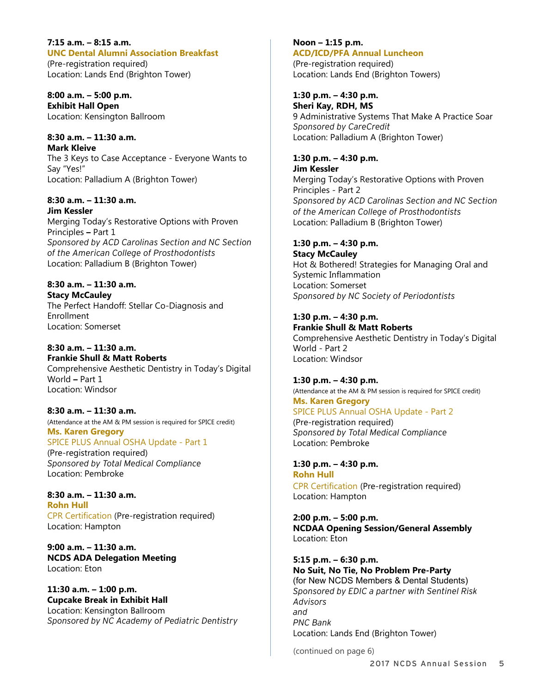**7:15 a.m. – 8:15 a.m. UNC Dental Alumni Association Breakfast**  (Pre-registration required) Location: Lands End (Brighton Tower)

**8:00 a.m. – 5:00 p.m. Exhibit Hall Open** Location: Kensington Ballroom

## **8:30 a.m. – 11:30 a.m. Mark Kleive**

The 3 Keys to Case Acceptance - Everyone Wants to Say "Yes!" Location: Palladium A (Brighton Tower)

## **8:30 a.m. – 11:30 a.m. Jim Kessler**

Merging Today's Restorative Options with Proven Principles **–** Part 1 *Sponsored by ACD Carolinas Section and NC Section of the American College of Prosthodontists* Location: Palladium B (Brighton Tower)

#### **8:30 a.m. – 11:30 a.m. Stacy McCauley** The Perfect Handoff: Stellar Co-Diagnosis and Enrollment Location: Somerset

**8:30 a.m. – 11:30 a.m. Frankie Shull & Matt Roberts** Comprehensive Aesthetic Dentistry in Today's Digital World **–** Part 1 Location: Windsor

**8:30 a.m. – 11:30 a.m.** (Attendance at the AM & PM session is required for SPICE credit) **Ms. Karen Gregory** SPICE PLUS Annual OSHA Update - Part 1 (Pre-registration required) *Sponsored by Total Medical Compliance* Location: Pembroke

**8:30 a.m. – 11:30 a.m. Rohn Hull** CPR Certification (Pre-registration required) Location: Hampton

**9:00 a.m. – 11:30 a.m. NCDS ADA Delegation Meeting** Location: Eton

**11:30 a.m. – 1:00 p.m. Cupcake Break in Exhibit Hall** Location: Kensington Ballroom *Sponsored by NC Academy of Pediatric Dentistry* 

#### **Noon – 1:15 p.m. ACD/ICD/PFA Annual Luncheon** (Pre-registration required)

Location: Lands End (Brighton Towers)

**1:30 p.m. – 4:30 p.m. Sheri Kay, RDH, MS** 9 Administrative Systems That Make A Practice Soar *Sponsored by CareCredit* Location: Palladium A (Brighton Tower)

**1:30 p.m. – 4:30 p.m. Jim Kessler** Merging Today's Restorative Options with Proven Principles - Part 2 *Sponsored by ACD Carolinas Section and NC Section of the American College of Prosthodontists* Location: Palladium B (Brighton Tower)

#### **1:30 p.m. – 4:30 p.m. Stacy McCauley**

Hot & Bothered! Strategies for Managing Oral and Systemic Inflammation Location: Somerset *Sponsored by NC Society of Periodontists* 

**1:30 p.m. – 4:30 p.m. Frankie Shull & Matt Roberts** Comprehensive Aesthetic Dentistry in Today's Digital World - Part 2 Location: Windsor

**1:30 p.m. – 4:30 p.m.**  (Attendance at the AM & PM session is required for SPICE credit) **Ms. Karen Gregory**

SPICE PLUS Annual OSHA Update - Part 2 (Pre-registration required) *Sponsored by Total Medical Compliance* Location: Pembroke

**1:30 p.m. – 4:30 p.m. Rohn Hull** CPR Certification (Pre-registration required) Location: Hampton

**2:00 p.m. – 5:00 p.m. NCDAA Opening Session/General Assembly** Location: Eton

**5:15 p.m. – 6:30 p.m. No Suit, No Tie, No Problem Pre-Party** (for New NCDS Members & Dental Students) *Sponsored by EDIC a partner with Sentinel Risk Advisors and PNC Bank* Location: Lands End (Brighton Tower)

(continued on page 6)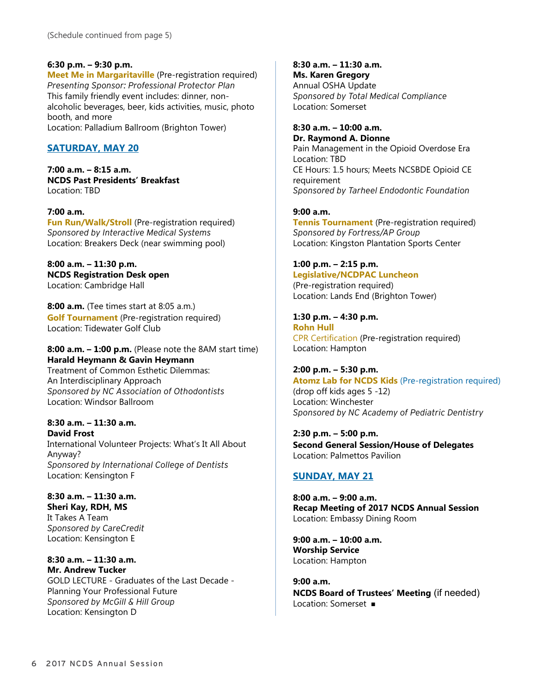## **6:30 p.m. – 9:30 p.m.**

**Meet Me in Margaritaville** (Pre-registration required) *Presenting Sponsor: Professional Protector Plan* This family friendly event includes: dinner, nonalcoholic beverages, beer, kids activities, music, photo booth, and more Location: Palladium Ballroom (Brighton Tower)

## **SATURDAY, MAY 20**

**7:00 a.m. – 8:15 a.m. NCDS Past Presidents' Breakfast** Location: TBD

## **7:00 a.m.**

**Fun Run/Walk/Stroll** (Pre-registration required) *Sponsored by Interactive Medical Systems* Location: Breakers Deck (near swimming pool)

**8:00 a.m. – 11:30 p.m. NCDS Registration Desk open** Location: Cambridge Hall

**8:00 a.m.** (Tee times start at 8:05 a.m.) **Golf Tournament** (Pre-registration required) Location: Tidewater Golf Club

**8:00 a.m. – 1:00 p.m.** (Please note the 8AM start time) **Harald Heymann & Gavin Heymann** Treatment of Common Esthetic Dilemmas: An Interdisciplinary Approach *Sponsored by NC Association of Othodontists* Location: Windsor Ballroom

#### **8:30 a.m. – 11:30 a.m. David Frost**

International Volunteer Projects: What's It All About Anyway? *Sponsored by International College of Dentists* Location: Kensington F

**8:30 a.m. – 11:30 a.m. Sheri Kay, RDH, MS** It Takes A Team *Sponsored by CareCredit* Location: Kensington E

**8:30 a.m. – 11:30 a.m. Mr. Andrew Tucker** GOLD LECTURE - Graduates of the Last Decade - Planning Your Professional Future *Sponsored by McGill & Hill Group* Location: Kensington D

**8:30 a.m. – 11:30 a.m. Ms. Karen Gregory** Annual OSHA Update *Sponsored by Total Medical Compliance* Location: Somerset

**8:30 a.m. – 10:00 a.m. Dr. Raymond A. Dionne** Pain Management in the Opioid Overdose Era Location: TBD CE Hours: 1.5 hours; Meets NCSBDE Opioid CE requirement *Sponsored by Tarheel Endodontic Foundation*

**9:00 a.m. Tennis Tournament** (Pre-registration required) *Sponsored by Fortress/AP Group* Location: Kingston Plantation Sports Center

**1:00 p.m. – 2:15 p.m. Legislative/NCDPAC Luncheon** (Pre-registration required) Location: Lands End (Brighton Tower)

**1:30 p.m. – 4:30 p.m. Rohn Hull** CPR Certification (Pre-registration required) Location: Hampton

**2:00 p.m. – 5:30 p.m. Atomz Lab for NCDS Kids** (Pre-registration required) (drop off kids ages 5 -12) Location: Winchester *Sponsored by NC Academy of Pediatric Dentistry* 

**2:30 p.m. – 5:00 p.m. Second General Session/House of Delegates** Location: Palmettos Pavilion

## **SUNDAY, MAY 21**

**8:00 a.m. – 9:00 a.m. Recap Meeting of 2017 NCDS Annual Session** Location: Embassy Dining Room

**9:00 a.m. – 10:00 a.m. Worship Service** Location: Hampton

**9:00 a.m. NCDS Board of Trustees' Meeting** (if needed) Location: Somerset  $\blacksquare$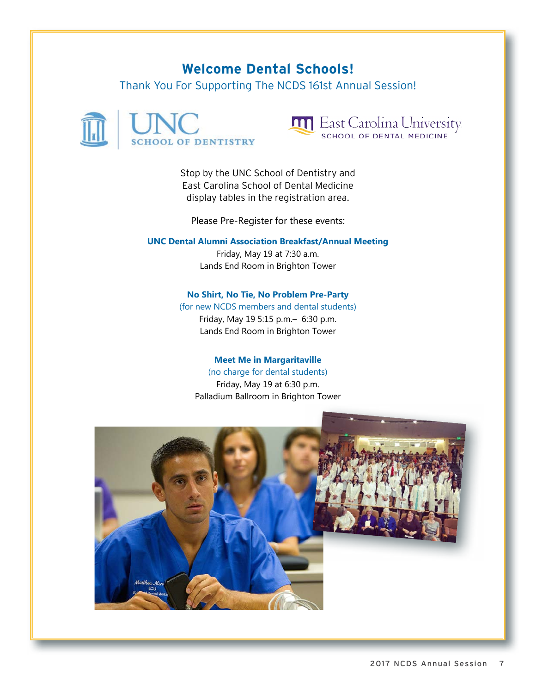## **Welcome Dental Schools!**

Thank You For Supporting The NCDS 161st Annual Session!





Stop by the UNC School of Dentistry and East Carolina School of Dental Medicine display tables in the registration area.

Please Pre-Register for these events:

## **UNC Dental Alumni Association Breakfast/Annual Meeting**

Friday, May 19 at 7:30 a.m. Lands End Room in Brighton Tower

**No Shirt, No Tie, No Problem Pre-Party** 

(for new NCDS members and dental students) Friday, May 19 5:15 p.m.– 6:30 p.m. Lands End Room in Brighton Tower

## **Meet Me in Margaritaville**

(no charge for dental students) Friday, May 19 at 6:30 p.m. Palladium Ballroom in Brighton Tower

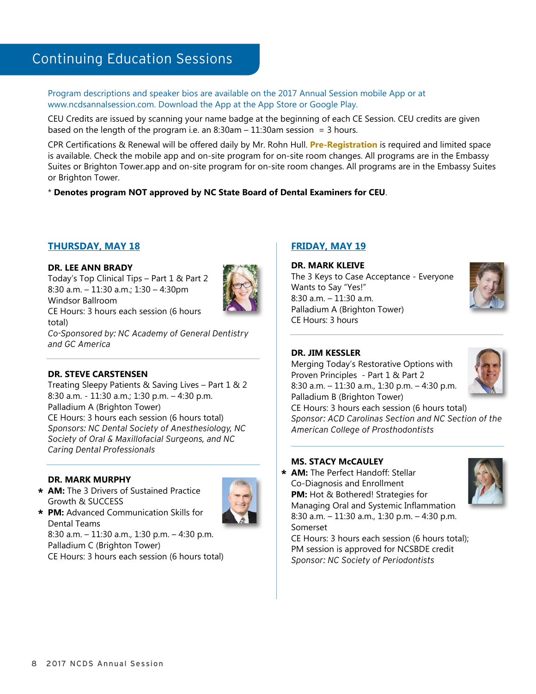# Continuing Education Sessions

Program descriptions and speaker bios are available on the 2017 Annual Session mobile App or at www.ncdsannalsession.com. Download the App at the App Store or Google Play.

CEU Credits are issued by scanning your name badge at the beginning of each CE Session. CEU credits are given based on the length of the program i.e. an 8:30am  $-11:30$ am session = 3 hours.

CPR Certifications & Renewal will be offered daily by Mr. Rohn Hull. **Pre-Registration** is required and limited space is available. Check the mobile app and on-site program for on-site room changes. All programs are in the Embassy Suites or Brighton Tower.app and on-site program for on-site room changes. All programs are in the Embassy Suites or Brighton Tower.

\* **Denotes program NOT approved by NC State Board of Dental Examiners for CEU**.

## **THURSDAY, MAY 18**

## **DR. LEE ANN BRADY**

Windsor Ballroom

total) *Co-Sponsored by: NC Academy of General Dentistry and GC America*

Today's Top Clinical Tips – Part 1 & Part 2 8:30 a.m. – 11:30 a.m.; 1:30 – 4:30pm

CE Hours: 3 hours each session (6 hours

#### **DR. STEVE CARSTENSEN**

Treating Sleepy Patients & Saving Lives – Part 1 & 2 8:30 a.m. - 11:30 a.m.; 1:30 p.m. – 4:30 p.m. Palladium A (Brighton Tower) CE Hours: 3 hours each session (6 hours total) *Sponsors: NC Dental Society of Anesthesiology, NC Society of Oral & Maxillofacial Surgeons, and NC Caring Dental Professionals*

#### **DR. MARK MURPHY**

**AM:** The 3 Drivers of Sustained Practice **\*** Growth & SUCCESS



**PM:** Advanced Communication Skills for **\*** Dental Teams 8:30 a.m. – 11:30 a.m., 1:30 p.m. – 4:30 p.m.

Palladium C (Brighton Tower)

CE Hours: 3 hours each session (6 hours total)

## **FRIDAY, MAY 19**

## **DR. MARK KLEIVE** The 3 Keys to Case Acceptance - Everyone Wants to Say "Yes!" 8:30 a.m. – 11:30 a.m. Palladium A (Brighton Tower) CE Hours: 3 hours



## **DR. JIM KESSLER**

Merging Today's Restorative Options with Proven Principles - Part 1 & Part 2 8:30 a.m. – 11:30 a.m., 1:30 p.m. – 4:30 p.m. Palladium B (Brighton Tower) CE Hours: 3 hours each session (6 hours total) *Sponsor: ACD Carolinas Section and NC Section of the American College of Prosthodontists*



## **MS. STACY McCAULEY**

**AM:** The Perfect Handoff: Stellar **\***Co-Diagnosis and Enrollment **PM:** Hot & Bothered! Strategies for Managing Oral and Systemic Inflammation 8:30 a.m. – 11:30 a.m., 1:30 p.m. – 4:30 p.m. Somerset



CE Hours: 3 hours each session (6 hours total); PM session is approved for NCSBDE credit *Sponsor: NC Society of Periodontists*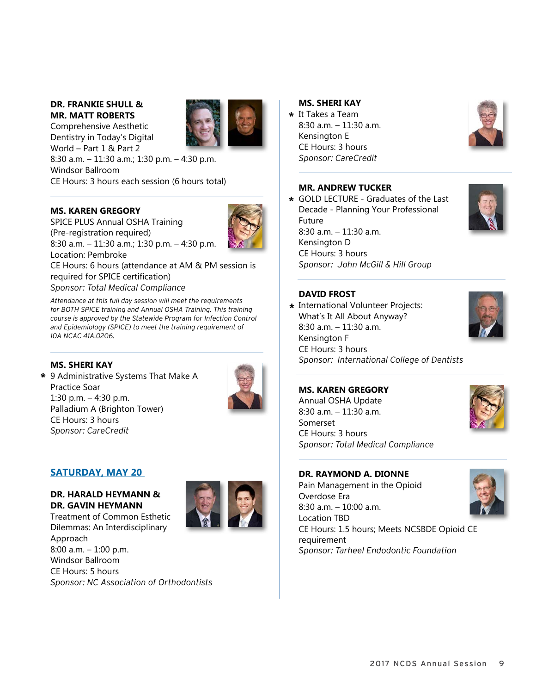## **DR. FRANKIE SHULL & MR. MATT ROBERTS**

Comprehensive Aesthetic Dentistry in Today's Digital World – Part 1 & Part 2



8:30 a.m. – 11:30 a.m.; 1:30 p.m. – 4:30 p.m. Windsor Ballroom CE Hours: 3 hours each session (6 hours total)

## **MS. KAREN GREGORY**

SPICE PLUS Annual OSHA Training (Pre-registration required) 8:30 a.m. – 11:30 a.m.; 1:30 p.m. – 4:30 p.m. Location: Pembroke CE Hours: 6 hours (attendance at AM & PM session is required for SPICE certification)

*Sponsor: Total Medical Compliance*

*Attendance at this full day session will meet the requirements for BOTH SPICE training and Annual OSHA Training. This training course is approved by the Statewide Program for Infection Control and Epidemiology (SPICE) to meet the training requirement of 10A NCAC 41A.0206.*

#### **MS. SHERI KAY**

9 Administrative Systems That Make A **\*** Practice Soar 1:30 p.m. – 4:30 p.m. Palladium A (Brighton Tower) CE Hours: 3 hours *Sponsor: CareCredit*



## **SATURDAY, MAY 20**

### **DR. HARALD HEYMANN & DR. GAVIN HEYMANN** Treatment of Common Esthetic



Dilemmas: An Interdisciplinary Approach 8:00 a.m. – 1:00 p.m. Windsor Ballroom CE Hours: 5 hours *Sponsor: NC Association of Orthodontists*

## **MS. SHERI KAY**

**Example 3 Form**<br>11:20 am 8:30 a.m. – 11:30 a.m. Kensington E CE Hours: 3 hours *Sponsor: CareCredit*



## **MR. ANDREW TUCKER**

GOLD LECTURE - Graduates of the Last **\***Decade - Planning Your Professional Future 8:30 a.m. – 11:30 a.m. Kensington D CE Hours: 3 hours *Sponsor: John McGill & Hill Group* 

## **DAVID FROST**

International Volunteer Projects: **\*** What's It All About Anyway? 8:30 a.m. – 11:30 a.m. Kensington F CE Hours: 3 hours *Sponsor: International College of Dentists*



## **MS. KAREN GREGORY**

Annual OSHA Update 8:30 a.m. – 11:30 a.m. Somerset CE Hours: 3 hours *Sponsor: Total Medical Compliance*



## **DR. RAYMOND A. DIONNE**

Pain Management in the Opioid Overdose Era 8:30 a.m. – 10:00 a.m. Location TBD requirement



CE Hours: 1.5 hours; Meets NCSBDE Opioid CE *Sponsor: Tarheel Endodontic Foundation*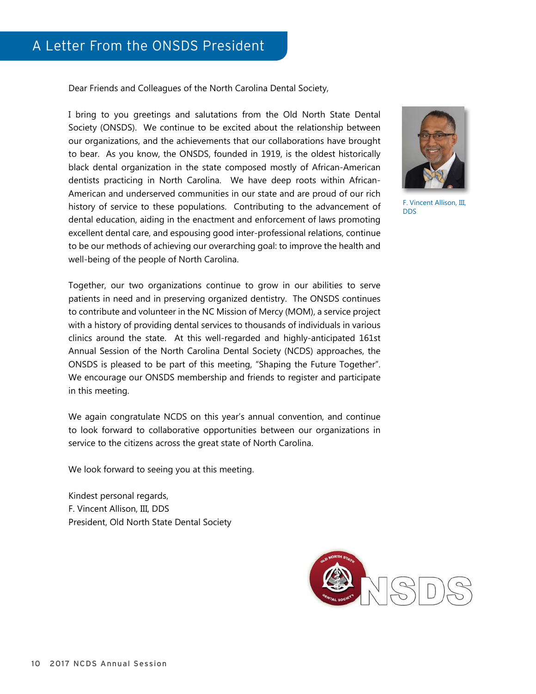Dear Friends and Colleagues of the North Carolina Dental Society,

I bring to you greetings and salutations from the Old North State Dental Society (ONSDS). We continue to be excited about the relationship between our organizations, and the achievements that our collaborations have brought to bear. As you know, the ONSDS, founded in 1919, is the oldest historically black dental organization in the state composed mostly of African-American dentists practicing in North Carolina. We have deep roots within African-American and underserved communities in our state and are proud of our rich history of service to these populations. Contributing to the advancement of dental education, aiding in the enactment and enforcement of laws promoting excellent dental care, and espousing good inter-professional relations, continue to be our methods of achieving our overarching goal: to improve the health and well-being of the people of North Carolina.

Together, our two organizations continue to grow in our abilities to serve patients in need and in preserving organized dentistry. The ONSDS continues to contribute and volunteer in the NC Mission of Mercy (MOM), a service project with a history of providing dental services to thousands of individuals in various clinics around the state. At this well-regarded and highly-anticipated 161st Annual Session of the North Carolina Dental Society (NCDS) approaches, the ONSDS is pleased to be part of this meeting, "Shaping the Future Together". We encourage our ONSDS membership and friends to register and participate in this meeting.

We again congratulate NCDS on this year's annual convention, and continue to look forward to collaborative opportunities between our organizations in service to the citizens across the great state of North Carolina.

We look forward to seeing you at this meeting.

Kindest personal regards, F. Vincent Allison, III, DDS President, Old North State Dental Society



F. Vincent Allison, III, DDS

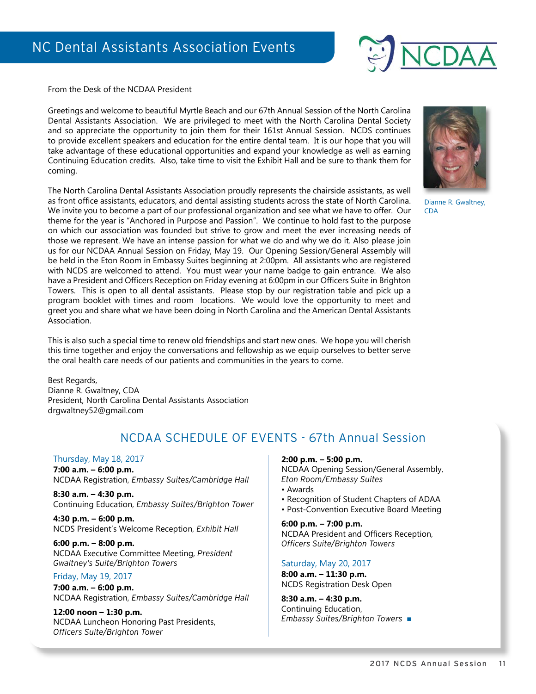

From the Desk of the NCDAA President

Greetings and welcome to beautiful Myrtle Beach and our 67th Annual Session of the North Carolina Dental Assistants Association. We are privileged to meet with the North Carolina Dental Society and so appreciate the opportunity to join them for their 161st Annual Session. NCDS continues to provide excellent speakers and education for the entire dental team. It is our hope that you will take advantage of these educational opportunities and expand your knowledge as well as earning Continuing Education credits. Also, take time to visit the Exhibit Hall and be sure to thank them for coming.

The North Carolina Dental Assistants Association proudly represents the chairside assistants, as well as front office assistants, educators, and dental assisting students across the state of North Carolina. We invite you to become a part of our professional organization and see what we have to offer. Our theme for the year is "Anchored in Purpose and Passion". We continue to hold fast to the purpose on which our association was founded but strive to grow and meet the ever increasing needs of those we represent. We have an intense passion for what we do and why we do it. Also please join us for our NCDAA Annual Session on Friday, May 19. Our Opening Session/General Assembly will be held in the Eton Room in Embassy Suites beginning at 2:00pm. All assistants who are registered with NCDS are welcomed to attend. You must wear your name badge to gain entrance. We also have a President and Officers Reception on Friday evening at 6:00pm in our Officers Suite in Brighton Towers. This is open to all dental assistants. Please stop by our registration table and pick up a program booklet with times and room locations. We would love the opportunity to meet and greet you and share what we have been doing in North Carolina and the American Dental Assistants Association.



Dianne R. Gwaltney, CDA

This is also such a special time to renew old friendships and start new ones. We hope you will cherish this time together and enjoy the conversations and fellowship as we equip ourselves to better serve the oral health care needs of our patients and communities in the years to come.

Best Regards, Dianne R. Gwaltney, CDA President, North Carolina Dental Assistants Association drgwaltney52@gmail.com

## NCDAA SCHEDULE OF EVENTS - 67th Annual Session

#### Thursday, May 18, 2017

**7:00 a.m. – 6:00 p.m.** NCDAA Registration, *Embassy Suites/Cambridge Hall*

**8:30 a.m. – 4:30 p.m.** Continuing Education, *Embassy Suites/Brighton Tower*

**4:30 p.m. – 6:00 p.m.** NCDS President's Welcome Reception, *Exhibit Hall*

**6:00 p.m. – 8:00 p.m.** NCDAA Executive Committee Meeting, *President Gwaltney's Suite/Brighton Towers*

#### Friday, May 19, 2017

**7:00 a.m. – 6:00 p.m.** NCDAA Registration, *Embassy Suites/Cambridge Hall*

**12:00 noon – 1:30 p.m.** NCDAA Luncheon Honoring Past Presidents, *Officers Suite/Brighton Tower*

#### **2:00 p.m. – 5:00 p.m.**

NCDAA Opening Session/General Assembly, *Eton Room/Embassy Suites*

- Awards
- Recognition of Student Chapters of ADAA
- Post-Convention Executive Board Meeting

**6:00 p.m. – 7:00 p.m.** NCDAA President and Officers Reception, *Officers Suite/Brighton Towers*

#### Saturday, May 20, 2017

**8:00 a.m. – 11:30 p.m.** NCDS Registration Desk Open

**8:30 a.m. – 4:30 p.m.** Continuing Education, *Embassy Suites/Brighton Towers* n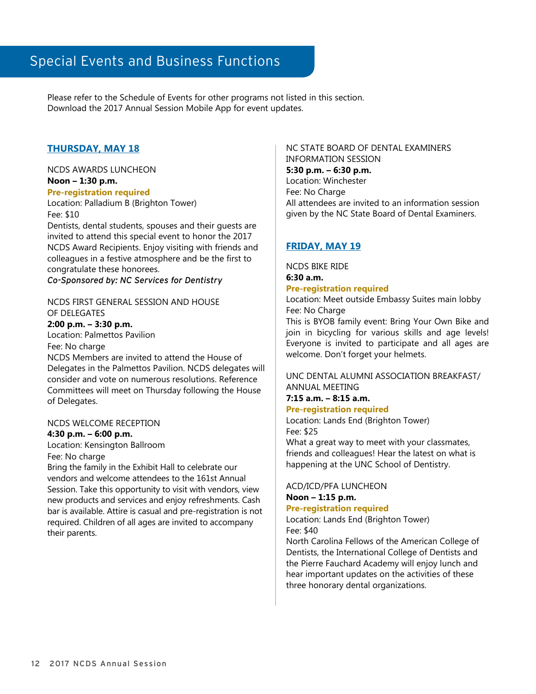Please refer to the Schedule of Events for other programs not listed in this section. Download the 2017 Annual Session Mobile App for event updates.

## **THURSDAY, MAY 18**

## NCDS AWARDS LUNCHEON

#### **Noon – 1:30 p.m. Pre-registration required**

Location: Palladium B (Brighton Tower) Fee: \$10

Dentists, dental students, spouses and their guests are invited to attend this special event to honor the 2017 NCDS Award Recipients. Enjoy visiting with friends and colleagues in a festive atmosphere and be the first to congratulate these honorees.

*Co-Sponsored by: NC Services for Dentistry*

## NCDS FIRST GENERAL SESSION AND HOUSE OF DELEGATES

## **2:00 p.m. – 3:30 p.m.**

Location: Palmettos Pavilion

#### Fee: No charge

NCDS Members are invited to attend the House of Delegates in the Palmettos Pavilion. NCDS delegates will consider and vote on numerous resolutions. Reference Committees will meet on Thursday following the House of Delegates.

## NCDS WELCOME RECEPTION

#### **4:30 p.m. – 6:00 p.m.**

Location: Kensington Ballroom Fee: No charge

Bring the family in the Exhibit Hall to celebrate our vendors and welcome attendees to the 161st Annual Session. Take this opportunity to visit with vendors, view new products and services and enjoy refreshments. Cash bar is available. Attire is casual and pre-registration is not required. Children of all ages are invited to accompany their parents.

## NC STATE BOARD OF DENTAL EXAMINERS INFORMATION SESSION

**5:30 p.m. – 6:30 p.m.**  Location: Winchester Fee: No Charge All attendees are invited to an information session given by the NC State Board of Dental Examiners.

## **FRIDAY, MAY 19**

NCDS BIKE RIDE **6:30 a.m. Pre-registration required**

Location: Meet outside Embassy Suites main lobby Fee: No Charge

This is BYOB family event: Bring Your Own Bike and join in bicycling for various skills and age levels! Everyone is invited to participate and all ages are welcome. Don't forget your helmets.

## UNC DENTAL ALUMNI ASSOCIATION BREAKFAST/ ANNUAL MEETING

## **7:15 a.m. – 8:15 a.m.**

#### **Pre-registration required**

Location: Lands End (Brighton Tower) Fee: \$25

What a great way to meet with your classmates, friends and colleagues! Hear the latest on what is happening at the UNC School of Dentistry.

## ACD/ICD/PFA LUNCHEON

## **Noon – 1:15 p.m.**

#### **Pre-registration required**

Location: Lands End (Brighton Tower) Fee: \$40

North Carolina Fellows of the American College of Dentists, the International College of Dentists and the Pierre Fauchard Academy will enjoy lunch and hear important updates on the activities of these three honorary dental organizations.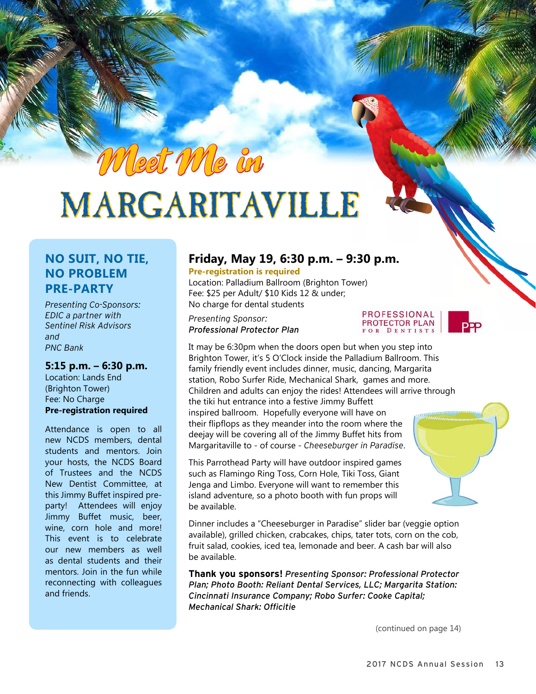# MARGARITAVILLE

Meet Me in

## **NO SUIT, NO TIE, NO PROBLEM PRE-PARTY**

*Presenting Co-Sponsors: EDIC a partner with Sentinel Risk Advisors and PNC Bank*

**5:15 p.m. – 6:30 p.m.** Location: Lands End (Brighton Tower) Fee: No Charge **Pre-registration required**

Attendance is open to all new NCDS members, dental students and mentors. Join your hosts, the NCDS Board of Trustees and the NCDS New Dentist Committee, at this Jimmy Buffet inspired preparty! Attendees will enjoy Jimmy Buffet music, beer, wine, corn hole and more! This event is to celebrate our new members as well as dental students and their mentors. Join in the fun while reconnecting with colleagues and friends.

## **Friday, May 19, 6:30 p.m. – 9:30 p.m.**

**Pre-registration is required** Location: Palladium Ballroom (Brighton Tower) Fee: \$25 per Adult/ \$10 Kids 12 & under; No charge for dental students

*Presenting Sponsor: Professional Protector Plan*

It may be 6:30pm when the doors open but when you step into Brighton Tower, it's 5 O'Clock inside the Palladium Ballroom. This family friendly event includes dinner, music, dancing, Margarita station, Robo Surfer Ride, Mechanical Shark, games and more. Children and adults can enjoy the rides! Attendees will arrive through the tiki hut entrance into a festive Jimmy Buffett inspired ballroom. Hopefully everyone will have on their flipflops as they meander into the room where the deejay will be covering all of the Jimmy Buffet hits from

This Parrothead Party will have outdoor inspired games such as Flamingo Ring Toss, Corn Hole, Tiki Toss, Giant Jenga and Limbo. Everyone will want to remember this island adventure, so a photo booth with fun props will be available.

Dinner includes a "Cheeseburger in Paradise" slider bar (veggie option available), grilled chicken, crabcakes, chips, tater tots, corn on the cob, fruit salad, cookies, iced tea, lemonade and beer. A cash bar will also be available.

**Thank you sponsors!** *Presenting Sponsor: Professional Protector Plan; Photo Booth: Reliant Dental Services, LLC; Margarita Station: Cincinnati Insurance Company; Robo Surfer: Cooke Capital; Mechanical Shark: Officitie*

(continued on page 14)

**PROFESSIONAL** PROTECTOR PLAN FOR DENTISTS

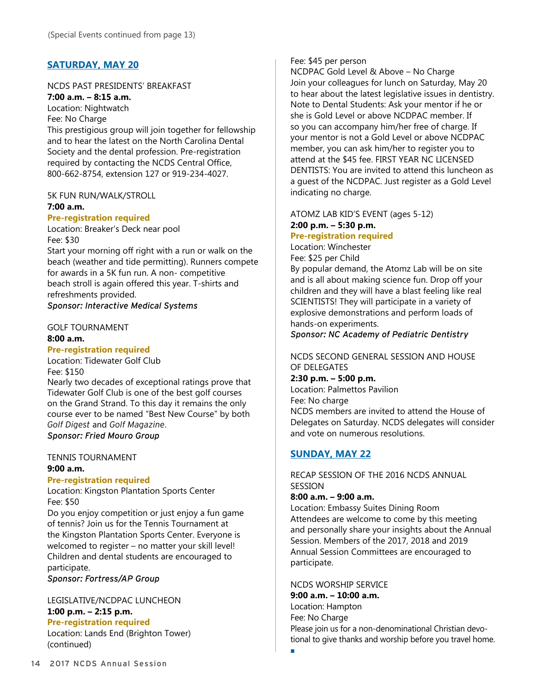## **SATURDAY, MAY 20**

## NCDS PAST PRESIDENTS' BREAKFAST

**7:00 a.m. – 8:15 a.m.** Location: Nightwatch Fee: No Charge This prestigious group will join together for fellowship and to hear the latest on the North Carolina Dental Society and the dental profession. Pre-registration required by contacting the NCDS Central Office, 800-662-8754, extension 127 or 919-234-4027.

## 5K FUN RUN/WALK/STROLL

### **7:00 a.m.**

## **Pre-registration required**

Location: Breaker's Deck near pool Fee: \$30

Start your morning off right with a run or walk on the beach (weather and tide permitting). Runners compete for awards in a 5K fun run. A non- competitive beach stroll is again offered this year. T-shirts and refreshments provided. *Sponsor: Interactive Medical Systems*

#### GOLF TOURNAMENT **8:00 a.m.**

## **Pre-registration required**

Location: Tidewater Golf Club Fee: \$150

Nearly two decades of exceptional ratings prove that Tidewater Golf Club is one of the best golf courses on the Grand Strand. To this day it remains the only course ever to be named "Best New Course" by both *Golf Digest* and *Golf Magazine*. *Sponsor: Fried Mouro Group*

#### TENNIS TOURNAMENT **9:00 a.m.**

## **Pre-registration required**

Location: Kingston Plantation Sports Center Fee: \$50

Do you enjoy competition or just enjoy a fun game of tennis? Join us for the Tennis Tournament at the Kingston Plantation Sports Center. Everyone is welcomed to register – no matter your skill level! Children and dental students are encouraged to participate.

*Sponsor: Fortress/AP Group*

## LEGISLATIVE/NCDPAC LUNCHEON **1:00 p.m. – 2:15 p.m.**

## **Pre-registration required**

Location: Lands End (Brighton Tower) (continued)

## Fee: \$45 per person

NCDPAC Gold Level & Above – No Charge Join your colleagues for lunch on Saturday, May 20 to hear about the latest legislative issues in dentistry. Note to Dental Students: Ask your mentor if he or she is Gold Level or above NCDPAC member. If so you can accompany him/her free of charge. If your mentor is not a Gold Level or above NCDPAC member, you can ask him/her to register you to attend at the \$45 fee. FIRST YEAR NC LICENSED DENTISTS: You are invited to attend this luncheon as a guest of the NCDPAC. Just register as a Gold Level indicating no charge.

ATOMZ LAB KID'S EVENT (ages 5-12) **2:00 p.m. – 5:30 p.m.**

## **Pre-registration required**

Location: Winchester Fee: \$25 per Child By popular demand, the Atomz Lab will be on site and is all about making science fun. Drop off your children and they will have a blast feeling like real SCIENTISTS! They will participate in a variety of explosive demonstrations and perform loads of hands-on experiments.

*Sponsor: NC Academy of Pediatric Dentistry*

#### NCDS SECOND GENERAL SESSION AND HOUSE OF DELEGATES

**2:30 p.m. – 5:00 p.m.** Location: Palmettos Pavilion Fee: No charge NCDS members are invited to attend the House of Delegates on Saturday. NCDS delegates will consider and vote on numerous resolutions.

## **SUNDAY, MAY 22**

RECAP SESSION OF THE 2016 NCDS ANNUAL **SESSION** 

## **8:00 a.m. – 9:00 a.m.**

Location: Embassy Suites Dining Room Attendees are welcome to come by this meeting and personally share your insights about the Annual Session. Members of the 2017, 2018 and 2019 Annual Session Committees are encouraged to participate.

NCDS WORSHIP SERVICE

n

**9:00 a.m. – 10:00 a.m.** Location: Hampton Fee: No Charge Please join us for a non-denominational Christian devotional to give thanks and worship before you travel home.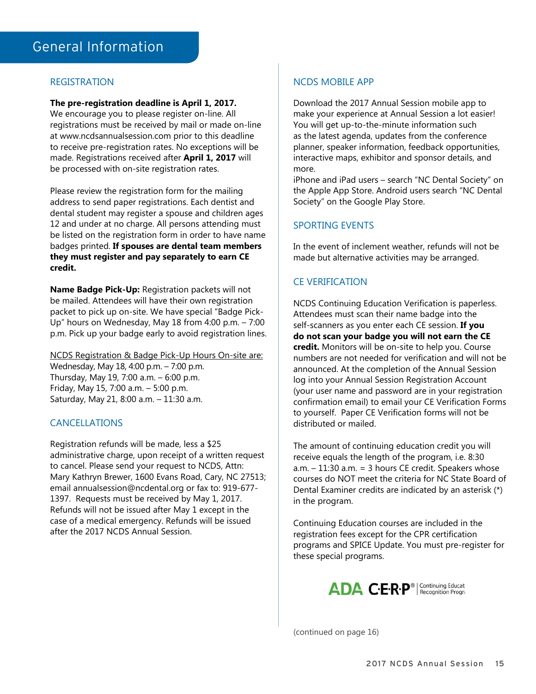## REGISTRATION

## **The pre-registration deadline is April 1, 2017.**

We encourage you to please register on-line. All registrations must be received by mail or made on-line at www.ncdsannualsession.com prior to this deadline to receive pre-registration rates. No exceptions will be made. Registrations received after **April 1, 2017** will be processed with on-site registration rates.

Please review the registration form for the mailing address to send paper registrations. Each dentist and dental student may register a spouse and children ages 12 and under at no charge. All persons attending must be listed on the registration form in order to have name badges printed. **If spouses are dental team members they must register and pay separately to earn CE credit.**

**Name Badge Pick-Up:** Registration packets will not be mailed. Attendees will have their own registration packet to pick up on-site. We have special "Badge Pick-Up" hours on Wednesday, May 18 from 4:00 p.m. – 7:00 p.m. Pick up your badge early to avoid registration lines.

NCDS Registration & Badge Pick-Up Hours On-site are: Wednesday, May 18, 4:00 p.m. – 7:00 p.m. Thursday, May 19, 7:00 a.m. – 6:00 p.m. Friday, May 15, 7:00 a.m. – 5:00 p.m. Saturday, May 21, 8:00 a.m. – 11:30 a.m.

## CANCELLATIONS

Registration refunds will be made, less a \$25 administrative charge, upon receipt of a written request to cancel. Please send your request to NCDS, Attn: Mary Kathryn Brewer, 1600 Evans Road, Cary, NC 27513; email annualsession@ncdental.org or fax to: 919-677- 1397. Requests must be received by May 1, 2017. Refunds will not be issued after May 1 except in the case of a medical emergency. Refunds will be issued after the 2017 NCDS Annual Session.

## NCDS MOBILE APP

Download the 2017 Annual Session mobile app to make your experience at Annual Session a lot easier! You will get up-to-the-minute information such as the latest agenda, updates from the conference planner, speaker information, feedback opportunities, interactive maps, exhibitor and sponsor details, and more.

iPhone and iPad users – search "NC Dental Society" on the Apple App Store. Android users search "NC Dental Society" on the Google Play Store.

## SPORTING EVENTS

In the event of inclement weather, refunds will not be made but alternative activities may be arranged.

## CE VERIFICATION

NCDS Continuing Education Verification is paperless. Attendees must scan their name badge into the self-scanners as you enter each CE session. **If you do not scan your badge you will not earn the CE credit.** Monitors will be on-site to help you. Course numbers are not needed for verification and will not be announced. At the completion of the Annual Session log into your Annual Session Registration Account (your user name and password are in your registration confirmation email) to email your CE Verification Forms to yourself. Paper CE Verification forms will not be distributed or mailed.

The amount of continuing education credit you will receive equals the length of the program, i.e. 8:30 a.m. – 11:30 a.m. = 3 hours CE credit. Speakers whose courses do NOT meet the criteria for NC State Board of Dental Examiner credits are indicated by an asterisk (\*) in the program.

Continuing Education courses are included in the registration fees except for the CPR certification programs and SPICE Update. You must pre-register for these special programs.



(continued on page 16)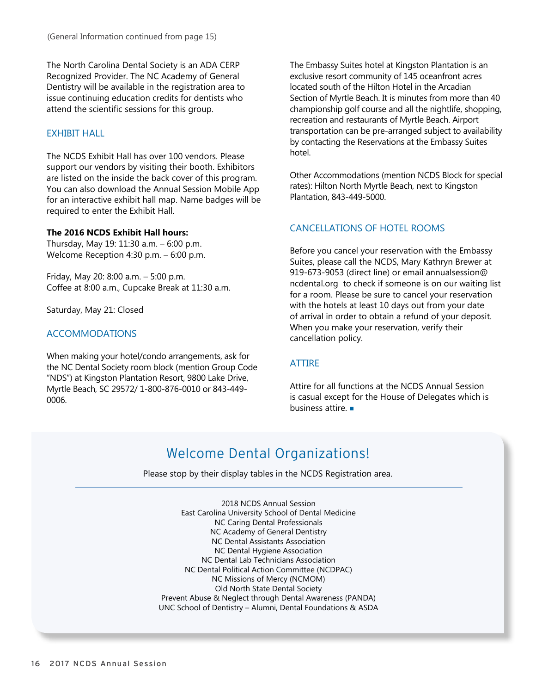The North Carolina Dental Society is an ADA CERP Recognized Provider. The NC Academy of General Dentistry will be available in the registration area to issue continuing education credits for dentists who attend the scientific sessions for this group.

## EXHIBIT HALL

The NCDS Exhibit Hall has over 100 vendors. Please support our vendors by visiting their booth. Exhibitors are listed on the inside the back cover of this program. You can also download the Annual Session Mobile App for an interactive exhibit hall map. Name badges will be required to enter the Exhibit Hall.

## **The 2016 NCDS Exhibit Hall hours:**

Thursday, May 19: 11:30 a.m. – 6:00 p.m. Welcome Reception 4:30 p.m. – 6:00 p.m.

Friday, May 20: 8:00 a.m. – 5:00 p.m. Coffee at 8:00 a.m., Cupcake Break at 11:30 a.m.

Saturday, May 21: Closed

## ACCOMMODATIONS

When making your hotel/condo arrangements, ask for the NC Dental Society room block (mention Group Code "NDS") at Kingston Plantation Resort, 9800 Lake Drive, Myrtle Beach, SC 29572/ 1-800-876-0010 or 843-449- 0006.

The Embassy Suites hotel at Kingston Plantation is an exclusive resort community of 145 oceanfront acres located south of the Hilton Hotel in the Arcadian Section of Myrtle Beach. It is minutes from more than 40 championship golf course and all the nightlife, shopping, recreation and restaurants of Myrtle Beach. Airport transportation can be pre-arranged subject to availability by contacting the Reservations at the Embassy Suites hotel.

Other Accommodations (mention NCDS Block for special rates): Hilton North Myrtle Beach, next to Kingston Plantation, 843-449-5000.

## CANCELLATIONS OF HOTEL ROOMS

Before you cancel your reservation with the Embassy Suites, please call the NCDS, Mary Kathryn Brewer at 919-673-9053 (direct line) or email annualsession@ ncdental.org to check if someone is on our waiting list for a room. Please be sure to cancel your reservation with the hotels at least 10 days out from your date of arrival in order to obtain a refund of your deposit. When you make your reservation, verify their cancellation policy.

## ATTIRE

Attire for all functions at the NCDS Annual Session is casual except for the House of Delegates which is business attire

# Welcome Dental Organizations!

Please stop by their display tables in the NCDS Registration area.

2018 NCDS Annual Session East Carolina University School of Dental Medicine NC Caring Dental Professionals NC Academy of General Dentistry NC Dental Assistants Association NC Dental Hygiene Association NC Dental Lab Technicians Association NC Dental Political Action Committee (NCDPAC) NC Missions of Mercy (NCMOM) Old North State Dental Society Prevent Abuse & Neglect through Dental Awareness (PANDA) UNC School of Dentistry – Alumni, Dental Foundations & ASDA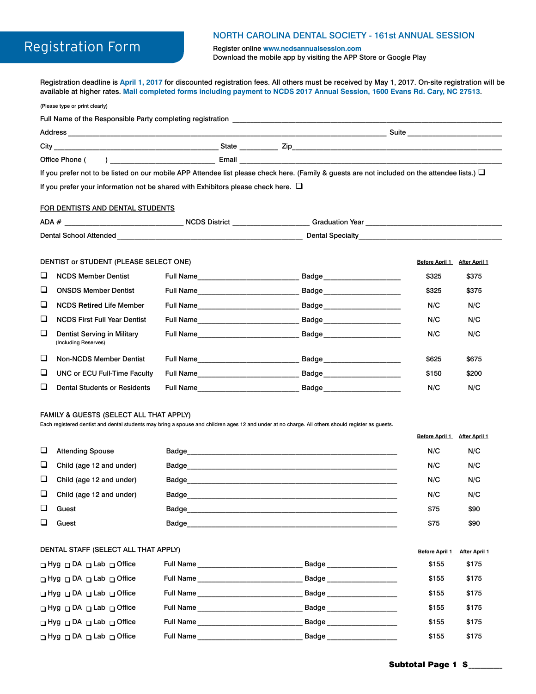#### NORTH CAROLINA DENTAL SOCIETY - 161st ANNUAL SESSION

# Registration Form

(Please type or print clearly)

Register online **www.ncdsannualsession.com** Download the mobile app by visiting the APP Store or Google Play

Registration deadline is **April 1, 2017** for discounted registration fees. All others must be received by May 1, 2017. On-site registration will be available at higher rates. **Mail completed forms including payment to NCDS 2017 Annual Session, 1600 Evans Rd. Cary, NC 27513**.

| Full Name of the Responsible Party completing registration |       |     |       |  |  |
|------------------------------------------------------------|-------|-----|-------|--|--|
| Address                                                    |       |     | Suite |  |  |
| City                                                       | State | Zip |       |  |  |
| Office Phone (                                             | Email |     |       |  |  |

If you prefer not to be listed on our mobile APP Attendee list please check here. (Family & guests are not included on the attendee lists.)  $\Box$ If you prefer your information not be shared with Exhibitors please check here.  $\square$ 

#### FOR DENTISTS AND DENTAL STUDENTS

| $ADA \#$               | MCDS.<br><b>District</b> | Year<br>Gradi<br>duatior |
|------------------------|--------------------------|--------------------------|
| Dental School Attended |                          | اDenta<br>Specialty      |

#### DENTIST or STUDENT (PLEASE SELECT ONE)

| □      | <b>NCDS Member Dentist</b>                          | Full Name and the state of the state of the state of the state of the state of the state of the state of the state of the state of the state of the state of the state of the state of the state of the state of the state of | Badge  | \$325 | \$375 |
|--------|-----------------------------------------------------|-------------------------------------------------------------------------------------------------------------------------------------------------------------------------------------------------------------------------------|--------|-------|-------|
| $\Box$ | <b>ONSDS Member Dentist</b>                         | <b>Full Name</b>                                                                                                                                                                                                              | Badge_ | \$325 | \$375 |
| ◻      | <b>NCDS Retired Life Member</b>                     | <b>Full Name</b>                                                                                                                                                                                                              | Badge  | N/C   | N/C   |
| □      | <b>NCDS First Full Year Dentist</b>                 | <b>Full Name</b>                                                                                                                                                                                                              | Badge  | N/C   | N/C   |
| □      | Dentist Serving in Military<br>(Including Reserves) | Full Name                                                                                                                                                                                                                     | Badge  | N/C   | N/C   |
| □      | <b>Non-NCDS Member Dentist</b>                      | <b>Full Name</b>                                                                                                                                                                                                              | Badge  | \$625 | \$675 |
| ◻      | UNC or ECU Full-Time Faculty                        | <b>Full Name</b>                                                                                                                                                                                                              | Badge  | \$150 | \$200 |
| ❏      | <b>Dental Students or Residents</b>                 | <b>Full Name</b>                                                                                                                                                                                                              | Badge  | N/C   | N/C   |

#### FAMILY & GUESTS (SELECT ALL THAT APPLY)

Each registered dentist and dental students may bring a spouse and children ages 12 and under at no charge. All others should register as guests.

|        |                          |       | <b>Before April 1</b> | <b>After April 1</b> |
|--------|--------------------------|-------|-----------------------|----------------------|
| □      | <b>Attending Spouse</b>  | Badge | N/C                   | N/C                  |
| $\Box$ | Child (age 12 and under) | Badge | N/C                   | N/C                  |
| □      | Child (age 12 and under) | Badge | N/C                   | N/C                  |
| □      | Child (age 12 and under) | Badge | N/C                   | N/C                  |
| ❏      | Guest                    | Badge | \$75                  | \$90                 |
| □      | Guest                    | Badge | \$75                  | \$90                 |

| DENTAL STAFF (SELECT ALL THAT APPLY)          |                             |       | <b>Before April 1</b> | <b>After April 1</b> |
|-----------------------------------------------|-----------------------------|-------|-----------------------|----------------------|
| $\Box$ Hyg $\Box$ DA $\Box$ Lab $\Box$ Office | <b>Full Name</b>            | Badge | \$155                 | \$175                |
| $\Box$ Hyg $\Box$ DA $\Box$ Lab $\Box$ Office | Full Name <b>Example 20</b> | Badge | \$155                 | \$175                |
| $\Box$ Hyg $\Box$ DA $\Box$ Lab $\Box$ Office | <b>Full Name</b>            | Badge | \$155                 | \$175                |
| $\Box$ Hyg $\Box$ DA $\Box$ Lab $\Box$ Office | <b>Full Name</b>            | Badge | \$155                 | \$175                |
| $\Box$ Hyg $\Box$ DA $\Box$ Lab $\Box$ Office | Full Name <b>Example 20</b> | Badge | \$155                 | \$175                |
| $\Box$ Hyg $\Box$ DA $\Box$ Lab $\Box$ Office | <b>Full Name</b>            | Badge | \$155                 | \$175                |

**Before April 1 After April 1**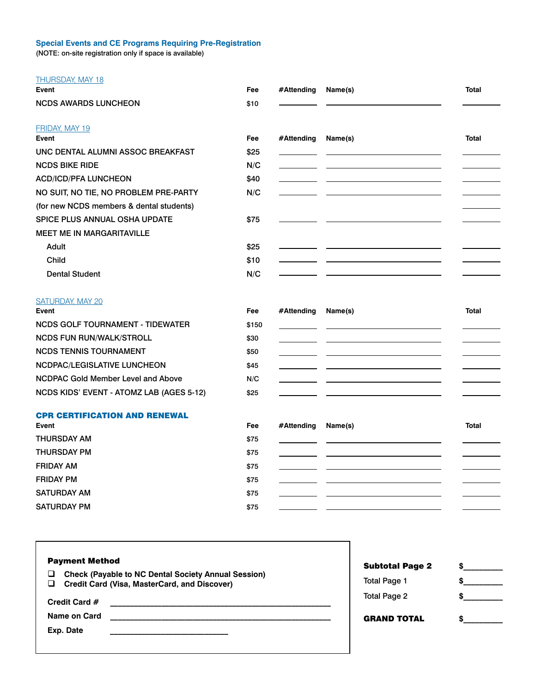#### **Special Events and CE Programs Requiring Pre-Registration**

(NOTE: on-site registration only if space is available)

| <b>THURSDAY, MAY 18</b><br><b>Event</b>  | Fee          | #Attending | Name(s) | <b>Total</b> |
|------------------------------------------|--------------|------------|---------|--------------|
| <b>NCDS AWARDS LUNCHEON</b>              | \$10         |            |         |              |
|                                          |              |            |         |              |
| <b>FRIDAY, MAY 19</b>                    |              |            |         |              |
| Event                                    | Fee          | #Attending | Name(s) | <b>Total</b> |
| UNC DENTAL ALUMNI ASSOC BREAKFAST        | \$25         |            |         |              |
| <b>NCDS BIKE RIDE</b>                    | N/C          |            |         |              |
| <b>ACD/ICD/PFA LUNCHEON</b>              | \$40         |            |         |              |
| NO SUIT, NO TIE, NO PROBLEM PRE-PARTY    | N/C          |            |         |              |
| (for new NCDS members & dental students) |              |            |         |              |
| SPICE PLUS ANNUAL OSHA UPDATE            | \$75         |            |         |              |
| <b>MEET ME IN MARGARITAVILLE</b>         |              |            |         |              |
| Adult                                    | \$25         |            |         |              |
| Child                                    | \$10         |            |         |              |
| <b>Dental Student</b>                    | N/C          |            |         |              |
|                                          |              |            |         |              |
| SATURDAY, MAY 20                         |              |            |         |              |
|                                          |              |            |         |              |
| Event                                    | Fee          | #Attending | Name(s) | <b>Total</b> |
| <b>NCDS GOLF TOURNAMENT - TIDEWATER</b>  | \$150        |            |         |              |
| NCDS FUN RUN/WALK/STROLL                 | \$30         |            |         |              |
| <b>NCDS TENNIS TOURNAMENT</b>            | \$50         |            |         |              |
| <b>NCDPAC/LEGISLATIVE LUNCHEON</b>       | \$45         |            |         |              |
| NCDPAC Gold Member Level and Above       | N/C          |            |         |              |
| NCDS KIDS' EVENT - ATOMZ LAB (AGES 5-12) | \$25         |            |         |              |
|                                          |              |            |         |              |
| <b>CPR CERTIFICATION AND RENEWAL</b>     |              |            |         |              |
| Event                                    | Fee          | #Attending | Name(s) | <b>Total</b> |
| <b>THURSDAY AM</b>                       | \$75         |            |         |              |
| <b>THURSDAY PM</b>                       | \$75         |            |         |              |
| <b>FRIDAY AM</b>                         | \$75         |            |         |              |
| <b>FRIDAY PM</b>                         | \$75         |            |         |              |
| <b>SATURDAY AM</b><br><b>SATURDAY PM</b> | \$75<br>\$75 |            |         |              |

| <b>Payment Method</b><br><b>Check (Payable to NC Dental Society Annual Session)</b><br>Credit Card (Visa, MasterCard, and Discover) |  |
|-------------------------------------------------------------------------------------------------------------------------------------|--|
|                                                                                                                                     |  |
|                                                                                                                                     |  |
| Credit Card #                                                                                                                       |  |
| Name on Card                                                                                                                        |  |
|                                                                                                                                     |  |
|                                                                                                                                     |  |

| <b>Subtotal Page 2</b> | S |
|------------------------|---|
| Total Page 1           | S |
| <b>Total Page 2</b>    | S |
| <b>GRAND TOTAL</b>     |   |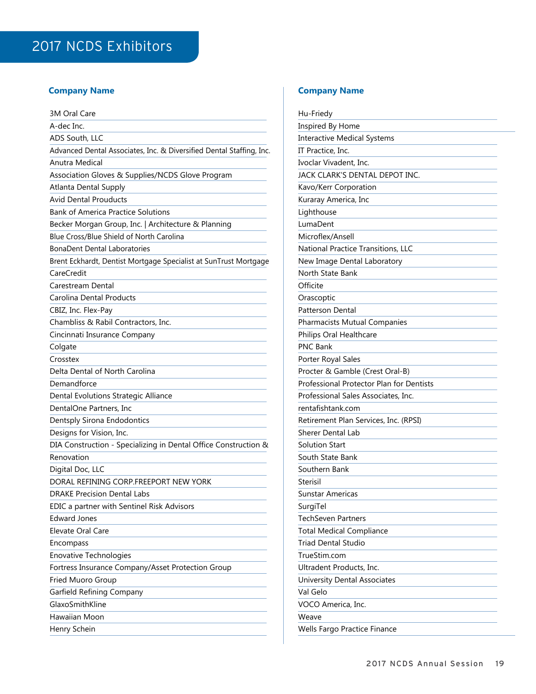| 3M Oral Care                                                         |
|----------------------------------------------------------------------|
| A-dec Inc.                                                           |
| ADS South, LLC                                                       |
| Advanced Dental Associates, Inc. & Diversified Dental Staffing, Inc. |
| Anutra Medical                                                       |
| Association Gloves & Supplies/NCDS Glove Program                     |
| <b>Atlanta Dental Supply</b>                                         |
| Avid Dental Prouducts                                                |
| <b>Bank of America Practice Solutions</b>                            |
| Becker Morgan Group, Inc.   Architecture & Planning                  |
| Blue Cross/Blue Shield of North Carolina                             |
| <b>BonaDent Dental Laboratories</b>                                  |
| Brent Eckhardt, Dentist Mortgage Specialist at SunTrust Mortgage     |
| CareCredit                                                           |
| Carestream Dental                                                    |
| Carolina Dental Products                                             |
| CBIZ, Inc. Flex-Pay                                                  |
| Chambliss & Rabil Contractors, Inc.                                  |
| Cincinnati Insurance Company                                         |
| Colgate                                                              |
| Crosstex                                                             |
| Delta Dental of North Carolina                                       |
| Demandforce                                                          |
| Dental Evolutions Strategic Alliance                                 |
| DentalOne Partners, Inc                                              |
| Dentsply Sirona Endodontics                                          |
| Designs for Vision, Inc.                                             |
| DIA Construction - Specializing in Dental Office Construction &      |
| Renovation                                                           |
| Digital Doc, LLC                                                     |
| DORAL REFINING CORP.FREEPORT NEW YORK                                |
| <b>DRAKE Precision Dental Labs</b>                                   |
| EDIC a partner with Sentinel Risk Advisors                           |
| <b>Edward Jones</b>                                                  |
| Elevate Oral Care                                                    |
| Encompass                                                            |
| Enovative Technologies                                               |
| Fortress Insurance Company/Asset Protection Group                    |
| Fried Muoro Group                                                    |
| Garfield Refining Company                                            |
| GlaxoSmithKline                                                      |
| Hawaiian Moon                                                        |
| Henry Schein                                                         |
|                                                                      |

## **Company Name Company Name Company Name**

| Hu-Friedy                                |  |
|------------------------------------------|--|
| Inspired By Home                         |  |
| <b>Interactive Medical Systems</b>       |  |
| IT Practice, Inc.                        |  |
| Ivoclar Vivadent, Inc.                   |  |
| JACK CLARK'S DENTAL DEPOT INC.           |  |
| Kavo/Kerr Corporation                    |  |
| Kuraray America, Inc                     |  |
| Lighthouse                               |  |
| LumaDent                                 |  |
| Microflex/Ansell                         |  |
| National Practice Transitions, LLC       |  |
| New Image Dental Laboratory              |  |
| North State Bank                         |  |
| Officite                                 |  |
| Orascoptic                               |  |
| Patterson Dental                         |  |
| Pharmacists Mutual Companies             |  |
| Philips Oral Healthcare                  |  |
| <b>PNC Bank</b>                          |  |
| Porter Royal Sales                       |  |
| Procter & Gamble (Crest Oral-B)          |  |
| Professional Protector Plan for Dentists |  |
| Professional Sales Associates, Inc.      |  |
| rentafishtank.com                        |  |
| Retirement Plan Services, Inc. (RPSI)    |  |
| <b>Sherer Dental Lab</b>                 |  |
| Solution Start                           |  |
| South State Bank                         |  |
| Southern Bank                            |  |
| Sterisil                                 |  |
| Sunstar Americas                         |  |
| SurgiTel                                 |  |
| TechSeven Partners                       |  |
| <b>Total Medical Compliance</b>          |  |
| Triad Dental Studio                      |  |
| TrueStim.com                             |  |
| Ultradent Products, Inc.                 |  |
| University Dental Associates             |  |
| Val Gelo                                 |  |
| VOCO America, Inc.                       |  |
| Weave                                    |  |
| Wells Fargo Practice Finance             |  |